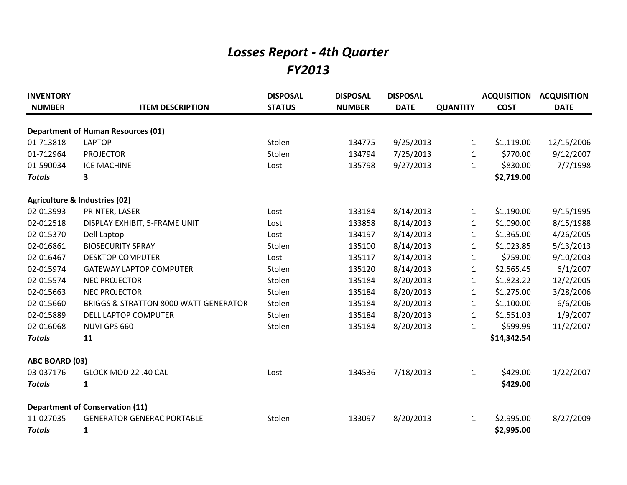## *Losses Report - 4th Quarter FY2013*

| <b>INVENTORY</b> |                                                  | <b>DISPOSAL</b> | <b>DISPOSAL</b> | <b>DISPOSAL</b> |                 | <b>ACQUISITION</b> | <b>ACQUISITION</b> |
|------------------|--------------------------------------------------|-----------------|-----------------|-----------------|-----------------|--------------------|--------------------|
| <b>NUMBER</b>    | <b>ITEM DESCRIPTION</b>                          | <b>STATUS</b>   | <b>NUMBER</b>   | <b>DATE</b>     | <b>QUANTITY</b> | <b>COST</b>        | <b>DATE</b>        |
|                  | <b>Department of Human Resources (01)</b>        |                 |                 |                 |                 |                    |                    |
| 01-713818        | <b>LAPTOP</b>                                    | Stolen          | 134775          | 9/25/2013       | $\mathbf{1}$    | \$1,119.00         | 12/15/2006         |
| 01-712964        | <b>PROJECTOR</b>                                 | Stolen          | 134794          | 7/25/2013       | $\mathbf{1}$    | \$770.00           | 9/12/2007          |
| 01-590034        | <b>ICE MACHINE</b>                               | Lost            | 135798          | 9/27/2013       | $\mathbf{1}$    | \$830.00           | 7/7/1998           |
| <b>Totals</b>    | 3                                                |                 |                 |                 |                 | \$2,719.00         |                    |
|                  | <b>Agriculture &amp; Industries (02)</b>         |                 |                 |                 |                 |                    |                    |
| 02-013993        | PRINTER, LASER                                   | Lost            | 133184          | 8/14/2013       | 1               | \$1,190.00         | 9/15/1995          |
| 02-012518        | DISPLAY EXHIBIT, 5-FRAME UNIT                    | Lost            | 133858          | 8/14/2013       | 1               | \$1,090.00         | 8/15/1988          |
| 02-015370        | Dell Laptop                                      | Lost            | 134197          | 8/14/2013       | 1               | \$1,365.00         | 4/26/2005          |
| 02-016861        | <b>BIOSECURITY SPRAY</b>                         | Stolen          | 135100          | 8/14/2013       | 1               | \$1,023.85         | 5/13/2013          |
| 02-016467        | <b>DESKTOP COMPUTER</b>                          | Lost            | 135117          | 8/14/2013       | 1               | \$759.00           | 9/10/2003          |
| 02-015974        | <b>GATEWAY LAPTOP COMPUTER</b>                   | Stolen          | 135120          | 8/14/2013       | 1               | \$2,565.45         | 6/1/2007           |
| 02-015574        | <b>NEC PROJECTOR</b>                             | Stolen          | 135184          | 8/20/2013       | 1               | \$1,823.22         | 12/2/2005          |
| 02-015663        | <b>NEC PROJECTOR</b>                             | Stolen          | 135184          | 8/20/2013       | 1               | \$1,275.00         | 3/28/2006          |
| 02-015660        | <b>BRIGGS &amp; STRATTON 8000 WATT GENERATOR</b> | Stolen          | 135184          | 8/20/2013       | $\mathbf{1}$    | \$1,100.00         | 6/6/2006           |
| 02-015889        | <b>DELL LAPTOP COMPUTER</b>                      | Stolen          | 135184          | 8/20/2013       | 1               | \$1,551.03         | 1/9/2007           |
| 02-016068        | NUVI GPS 660                                     | Stolen          | 135184          | 8/20/2013       | $\mathbf{1}$    | \$599.99           | 11/2/2007          |
| <b>Totals</b>    | 11                                               |                 |                 |                 |                 | \$14,342.54        |                    |
| ABC BOARD (03)   |                                                  |                 |                 |                 |                 |                    |                    |
| 03-037176        | GLOCK MOD 22 .40 CAL                             | Lost            | 134536          | 7/18/2013       | 1               | \$429.00           | 1/22/2007          |
| <b>Totals</b>    | $\mathbf{1}$                                     |                 |                 |                 |                 | \$429.00           |                    |
|                  | <b>Department of Conservation (11)</b>           |                 |                 |                 |                 |                    |                    |
| 11-027035        | <b>GENERATOR GENERAC PORTABLE</b>                | Stolen          | 133097          | 8/20/2013       | 1               | \$2,995.00         | 8/27/2009          |
| <b>Totals</b>    | $\mathbf{1}$                                     |                 |                 |                 |                 | \$2,995.00         |                    |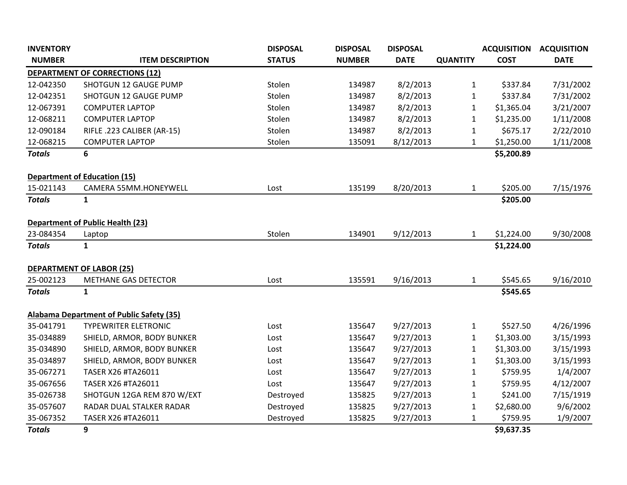| <b>INVENTORY</b> |                                                 | <b>DISPOSAL</b> | <b>DISPOSAL</b> | <b>DISPOSAL</b> |                 | <b>ACQUISITION</b> | <b>ACQUISITION</b> |
|------------------|-------------------------------------------------|-----------------|-----------------|-----------------|-----------------|--------------------|--------------------|
| <b>NUMBER</b>    | <b>ITEM DESCRIPTION</b>                         | <b>STATUS</b>   | <b>NUMBER</b>   | <b>DATE</b>     | <b>QUANTITY</b> | <b>COST</b>        | <b>DATE</b>        |
|                  | <b>DEPARTMENT OF CORRECTIONS (12)</b>           |                 |                 |                 |                 |                    |                    |
| 12-042350        | SHOTGUN 12 GAUGE PUMP                           | Stolen          | 134987          | 8/2/2013        | $\mathbf{1}$    | \$337.84           | 7/31/2002          |
| 12-042351        | <b>SHOTGUN 12 GAUGE PUMP</b>                    | Stolen          | 134987          | 8/2/2013        | $\mathbf{1}$    | \$337.84           | 7/31/2002          |
| 12-067391        | <b>COMPUTER LAPTOP</b>                          | Stolen          | 134987          | 8/2/2013        | $\mathbf{1}$    | \$1,365.04         | 3/21/2007          |
| 12-068211        | <b>COMPUTER LAPTOP</b>                          | Stolen          | 134987          | 8/2/2013        | $\mathbf{1}$    | \$1,235.00         | 1/11/2008          |
| 12-090184        | RIFLE .223 CALIBER (AR-15)                      | Stolen          | 134987          | 8/2/2013        | $\mathbf{1}$    | \$675.17           | 2/22/2010          |
| 12-068215        | <b>COMPUTER LAPTOP</b>                          | Stolen          | 135091          | 8/12/2013       | $\mathbf{1}$    | \$1,250.00         | 1/11/2008          |
| <b>Totals</b>    | 6                                               |                 |                 |                 |                 | \$5,200.89         |                    |
|                  |                                                 |                 |                 |                 |                 |                    |                    |
|                  | <b>Department of Education (15)</b>             |                 |                 |                 |                 |                    |                    |
| 15-021143        | CAMERA 55MM.HONEYWELL                           | Lost            | 135199          | 8/20/2013       | $\mathbf{1}$    | \$205.00           | 7/15/1976          |
| <b>Totals</b>    | $\mathbf{1}$                                    |                 |                 |                 |                 | \$205.00           |                    |
|                  |                                                 |                 |                 |                 |                 |                    |                    |
|                  | <b>Department of Public Health (23)</b>         |                 |                 |                 |                 |                    |                    |
| 23-084354        | Laptop                                          | Stolen          | 134901          | 9/12/2013       | $\mathbf{1}$    | \$1,224.00         | 9/30/2008          |
| <b>Totals</b>    | $\mathbf{1}$                                    |                 |                 |                 |                 | \$1,224.00         |                    |
|                  |                                                 |                 |                 |                 |                 |                    |                    |
|                  | <b>DEPARTMENT OF LABOR (25)</b>                 |                 |                 |                 |                 |                    |                    |
| 25-002123        | <b>METHANE GAS DETECTOR</b>                     | Lost            | 135591          | 9/16/2013       | $\mathbf{1}$    | \$545.65           | 9/16/2010          |
| <b>Totals</b>    | $\mathbf{1}$                                    |                 |                 |                 |                 | \$545.65           |                    |
|                  |                                                 |                 |                 |                 |                 |                    |                    |
|                  | <b>Alabama Department of Public Safety (35)</b> |                 |                 |                 |                 |                    |                    |
| 35-041791        | <b>TYPEWRITER ELETRONIC</b>                     | Lost            | 135647          | 9/27/2013       | $\mathbf{1}$    | \$527.50           | 4/26/1996          |
| 35-034889        | SHIELD, ARMOR, BODY BUNKER                      | Lost            | 135647          | 9/27/2013       | $\mathbf{1}$    | \$1,303.00         | 3/15/1993          |
| 35-034890        | SHIELD, ARMOR, BODY BUNKER                      | Lost            | 135647          | 9/27/2013       | $\mathbf{1}$    | \$1,303.00         | 3/15/1993          |
| 35-034897        | SHIELD, ARMOR, BODY BUNKER                      | Lost            | 135647          | 9/27/2013       | $\mathbf{1}$    | \$1,303.00         | 3/15/1993          |
| 35-067271        | TASER X26 #TA26011                              | Lost            | 135647          | 9/27/2013       | $\mathbf{1}$    | \$759.95           | 1/4/2007           |
| 35-067656        | TASER X26 #TA26011                              | Lost            | 135647          | 9/27/2013       | $\mathbf{1}$    | \$759.95           | 4/12/2007          |
| 35-026738        | SHOTGUN 12GA REM 870 W/EXT                      | Destroyed       | 135825          | 9/27/2013       | $\mathbf{1}$    | \$241.00           | 7/15/1919          |
| 35-057607        | RADAR DUAL STALKER RADAR                        | Destroyed       | 135825          | 9/27/2013       | $\mathbf{1}$    | \$2,680.00         | 9/6/2002           |
| 35-067352        | TASER X26 #TA26011                              | Destroyed       | 135825          | 9/27/2013       | $\mathbf{1}$    | \$759.95           | 1/9/2007           |
| <b>Totals</b>    | 9                                               |                 |                 |                 |                 | \$9,637.35         |                    |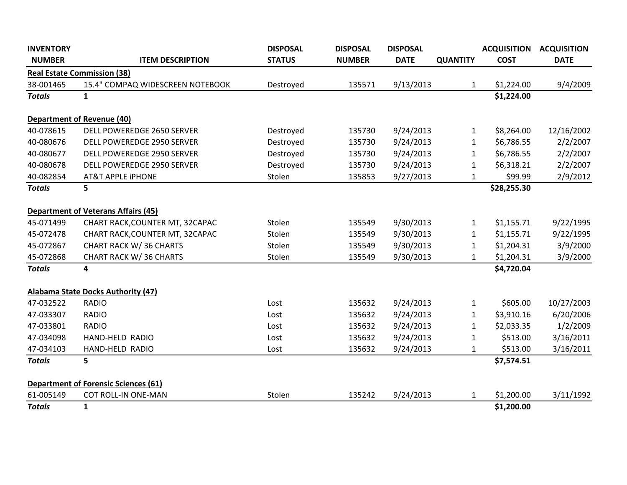| <b>INVENTORY</b> |                                             | <b>DISPOSAL</b> | <b>DISPOSAL</b> | <b>DISPOSAL</b> |                 | <b>ACQUISITION</b> | <b>ACQUISITION</b> |
|------------------|---------------------------------------------|-----------------|-----------------|-----------------|-----------------|--------------------|--------------------|
| <b>NUMBER</b>    | <b>ITEM DESCRIPTION</b>                     | <b>STATUS</b>   | <b>NUMBER</b>   | <b>DATE</b>     | <b>QUANTITY</b> | <b>COST</b>        | <b>DATE</b>        |
|                  | <b>Real Estate Commission (38)</b>          |                 |                 |                 |                 |                    |                    |
| 38-001465        | 15.4" COMPAQ WIDESCREEN NOTEBOOK            | Destroyed       | 135571          | 9/13/2013       | $\mathbf 1$     | \$1,224.00         | 9/4/2009           |
| <b>Totals</b>    | $\mathbf{1}$                                |                 |                 |                 |                 | \$1,224.00         |                    |
|                  | <b>Department of Revenue (40)</b>           |                 |                 |                 |                 |                    |                    |
| 40-078615        | DELL POWEREDGE 2650 SERVER                  | Destroyed       | 135730          | 9/24/2013       | $\mathbf{1}$    | \$8,264.00         | 12/16/2002         |
| 40-080676        | DELL POWEREDGE 2950 SERVER                  | Destroyed       | 135730          | 9/24/2013       | $\mathbf 1$     | \$6,786.55         | 2/2/2007           |
| 40-080677        | DELL POWEREDGE 2950 SERVER                  | Destroyed       | 135730          | 9/24/2013       | $\mathbf{1}$    | \$6,786.55         | 2/2/2007           |
| 40-080678        | <b>DELL POWEREDGE 2950 SERVER</b>           | Destroyed       | 135730          | 9/24/2013       | $\mathbf{1}$    | \$6,318.21         | 2/2/2007           |
| 40-082854        | <b>AT&amp;T APPLE IPHONE</b>                | Stolen          | 135853          | 9/27/2013       | $\mathbf 1$     | \$99.99            | 2/9/2012           |
| <b>Totals</b>    | 5                                           |                 |                 |                 |                 | \$28,255.30        |                    |
|                  | <b>Department of Veterans Affairs (45)</b>  |                 |                 |                 |                 |                    |                    |
| 45-071499        | CHART RACK, COUNTER MT, 32CAPAC             | Stolen          | 135549          | 9/30/2013       | $\mathbf{1}$    | \$1,155.71         | 9/22/1995          |
| 45-072478        | CHART RACK, COUNTER MT, 32CAPAC             | Stolen          | 135549          | 9/30/2013       | $\mathbf 1$     | \$1,155.71         | 9/22/1995          |
| 45-072867        | <b>CHART RACK W/36 CHARTS</b>               | Stolen          | 135549          | 9/30/2013       | $\mathbf 1$     | \$1,204.31         | 3/9/2000           |
| 45-072868        | <b>CHART RACK W/36 CHARTS</b>               | Stolen          | 135549          | 9/30/2013       | 1               | \$1,204.31         | 3/9/2000           |
| <b>Totals</b>    | 4                                           |                 |                 |                 |                 | \$4,720.04         |                    |
|                  | <b>Alabama State Docks Authority (47)</b>   |                 |                 |                 |                 |                    |                    |
| 47-032522        | <b>RADIO</b>                                | Lost            | 135632          | 9/24/2013       | $\mathbf{1}$    | \$605.00           | 10/27/2003         |
| 47-033307        | <b>RADIO</b>                                | Lost            | 135632          | 9/24/2013       | 1               | \$3,910.16         | 6/20/2006          |
| 47-033801        | <b>RADIO</b>                                | Lost            | 135632          | 9/24/2013       | 1               | \$2,033.35         | 1/2/2009           |
| 47-034098        | HAND-HELD RADIO                             | Lost            | 135632          | 9/24/2013       | $\mathbf{1}$    | \$513.00           | 3/16/2011          |
| 47-034103        | HAND-HELD RADIO                             | Lost            | 135632          | 9/24/2013       | 1               | \$513.00           | 3/16/2011          |
| <b>Totals</b>    | 5                                           |                 |                 |                 |                 | \$7,574.51         |                    |
|                  | <b>Department of Forensic Sciences (61)</b> |                 |                 |                 |                 |                    |                    |
| 61-005149        | <b>COT ROLL-IN ONE-MAN</b>                  | Stolen          | 135242          | 9/24/2013       | $\mathbf 1$     | \$1,200.00         | 3/11/1992          |
| <b>Totals</b>    | $\mathbf{1}$                                |                 |                 |                 |                 | \$1,200.00         |                    |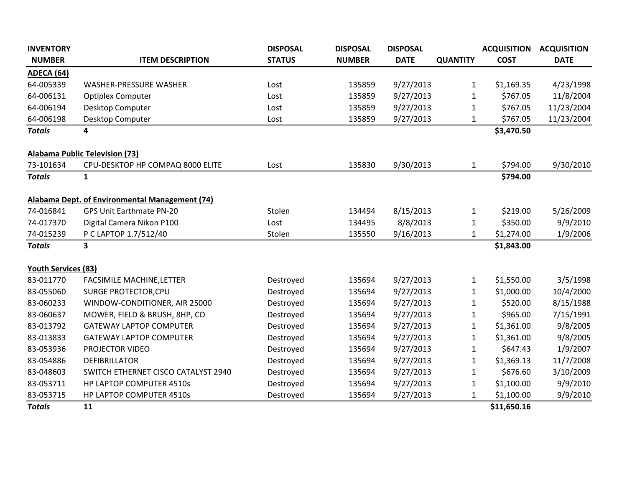| <b>INVENTORY</b>           |                                                | <b>DISPOSAL</b> | <b>DISPOSAL</b> | <b>DISPOSAL</b> |                 | <b>ACQUISITION</b> | <b>ACQUISITION</b> |
|----------------------------|------------------------------------------------|-----------------|-----------------|-----------------|-----------------|--------------------|--------------------|
| <b>NUMBER</b>              | <b>ITEM DESCRIPTION</b>                        | <b>STATUS</b>   | <b>NUMBER</b>   | <b>DATE</b>     | <b>QUANTITY</b> | <b>COST</b>        | <b>DATE</b>        |
| <b>ADECA (64)</b>          |                                                |                 |                 |                 |                 |                    |                    |
| 64-005339                  | WASHER-PRESSURE WASHER                         | Lost            | 135859          | 9/27/2013       | 1               | \$1,169.35         | 4/23/1998          |
| 64-006131                  | <b>Optiplex Computer</b>                       | Lost            | 135859          | 9/27/2013       | 1               | \$767.05           | 11/8/2004          |
| 64-006194                  | Desktop Computer                               | Lost            | 135859          | 9/27/2013       | $\mathbf{1}$    | \$767.05           | 11/23/2004         |
| 64-006198                  | Desktop Computer                               | Lost            | 135859          | 9/27/2013       | $\mathbf{1}$    | \$767.05           | 11/23/2004         |
| <b>Totals</b>              | 4                                              |                 |                 |                 |                 | \$3,470.50         |                    |
|                            | <b>Alabama Public Television (73)</b>          |                 |                 |                 |                 |                    |                    |
| 73-101634                  | CPU-DESKTOP HP COMPAQ 8000 ELITE               | Lost            | 135830          | 9/30/2013       | 1               | \$794.00           | 9/30/2010          |
| <b>Totals</b>              | 1                                              |                 |                 |                 |                 | \$794.00           |                    |
|                            | Alabama Dept. of Environmental Management (74) |                 |                 |                 |                 |                    |                    |
| 74-016841                  | <b>GPS Unit Earthmate PN-20</b>                | Stolen          | 134494          | 8/15/2013       | 1               | \$219.00           | 5/26/2009          |
| 74-017370                  | Digital Camera Nikon P100                      | Lost            | 134495          | 8/8/2013        | 1               | \$350.00           | 9/9/2010           |
| 74-015239                  | P C LAPTOP 1.7/512/40                          | Stolen          | 135550          | 9/16/2013       | 1               | \$1,274.00         | 1/9/2006           |
| <b>Totals</b>              | $\overline{\mathbf{3}}$                        |                 |                 |                 |                 | \$1,843.00         |                    |
| <b>Youth Services (83)</b> |                                                |                 |                 |                 |                 |                    |                    |
| 83-011770                  | <b>FACSIMILE MACHINE, LETTER</b>               | Destroyed       | 135694          | 9/27/2013       | 1               | \$1,550.00         | 3/5/1998           |
| 83-055060                  | SURGE PROTECTOR, CPU                           | Destroyed       | 135694          | 9/27/2013       | 1               | \$1,000.00         | 10/4/2000          |
| 83-060233                  | WINDOW-CONDITIONER, AIR 25000                  | Destroyed       | 135694          | 9/27/2013       | $\mathbf{1}$    | \$520.00           | 8/15/1988          |
| 83-060637                  | MOWER, FIELD & BRUSH, 8HP, CO                  | Destroyed       | 135694          | 9/27/2013       | 1               | \$965.00           | 7/15/1991          |
| 83-013792                  | <b>GATEWAY LAPTOP COMPUTER</b>                 | Destroyed       | 135694          | 9/27/2013       | 1               | \$1,361.00         | 9/8/2005           |
| 83-013833                  | <b>GATEWAY LAPTOP COMPUTER</b>                 | Destroyed       | 135694          | 9/27/2013       | $\mathbf{1}$    | \$1,361.00         | 9/8/2005           |
| 83-053936                  | PROJECTOR VIDEO                                | Destroyed       | 135694          | 9/27/2013       | 1               | \$647.43           | 1/9/2007           |
| 83-054886                  | <b>DEFIBRILLATOR</b>                           | Destroyed       | 135694          | 9/27/2013       | 1               | \$1,369.13         | 11/7/2008          |
| 83-048603                  | SWITCH ETHERNET CISCO CATALYST 2940            | Destroyed       | 135694          | 9/27/2013       | 1               | \$676.60           | 3/10/2009          |
| 83-053711                  | HP LAPTOP COMPUTER 4510s                       | Destroyed       | 135694          | 9/27/2013       | 1               | \$1,100.00         | 9/9/2010           |
| 83-053715                  | HP LAPTOP COMPUTER 4510s                       | Destroyed       | 135694          | 9/27/2013       | 1               | \$1,100.00         | 9/9/2010           |
| <b>Totals</b>              | 11                                             |                 |                 |                 |                 | \$11,650.16        |                    |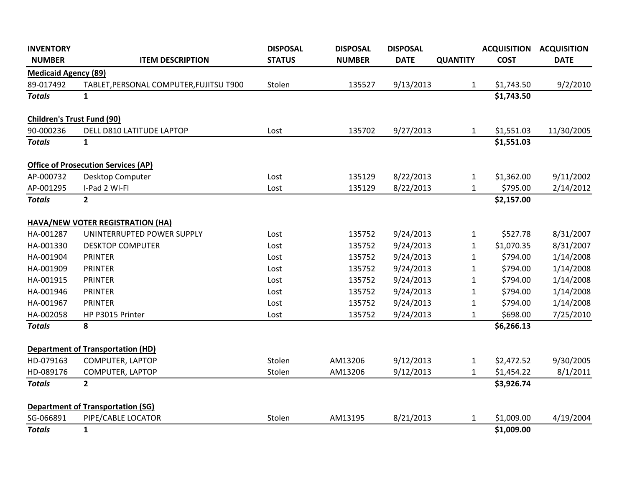| <b>INVENTORY</b>                  |                                            | <b>DISPOSAL</b> | <b>DISPOSAL</b> | <b>DISPOSAL</b> |                 | <b>ACQUISITION</b> | <b>ACQUISITION</b> |
|-----------------------------------|--------------------------------------------|-----------------|-----------------|-----------------|-----------------|--------------------|--------------------|
| <b>NUMBER</b>                     | <b>ITEM DESCRIPTION</b>                    | <b>STATUS</b>   | <b>NUMBER</b>   | <b>DATE</b>     | <b>QUANTITY</b> | <b>COST</b>        | <b>DATE</b>        |
| <b>Medicaid Agency (89)</b>       |                                            |                 |                 |                 |                 |                    |                    |
| 89-017492                         | TABLET, PERSONAL COMPUTER, FUJITSU T900    | Stolen          | 135527          | 9/13/2013       | 1               | \$1,743.50         | 9/2/2010           |
| <b>Totals</b>                     | $\mathbf{1}$                               |                 |                 |                 |                 | \$1,743.50         |                    |
| <b>Children's Trust Fund (90)</b> |                                            |                 |                 |                 |                 |                    |                    |
| 90-000236                         | DELL D810 LATITUDE LAPTOP                  | Lost            | 135702          | 9/27/2013       | $\mathbf{1}$    | \$1,551.03         | 11/30/2005         |
| <b>Totals</b>                     | $\mathbf{1}$                               |                 |                 |                 |                 | \$1,551.03         |                    |
|                                   | <b>Office of Prosecution Services (AP)</b> |                 |                 |                 |                 |                    |                    |
| AP-000732                         | Desktop Computer                           | Lost            | 135129          | 8/22/2013       | $\mathbf{1}$    | \$1,362.00         | 9/11/2002          |
| AP-001295                         | I-Pad 2 WI-FI                              | Lost            | 135129          | 8/22/2013       | $\mathbf{1}$    | \$795.00           | 2/14/2012          |
| <b>Totals</b>                     | $\mathbf{2}$                               |                 |                 |                 |                 | \$2,157.00         |                    |
|                                   | HAVA/NEW VOTER REGISTRATION (HA)           |                 |                 |                 |                 |                    |                    |
| HA-001287                         | UNINTERRUPTED POWER SUPPLY                 | Lost            | 135752          | 9/24/2013       | $\mathbf{1}$    | \$527.78           | 8/31/2007          |
| HA-001330                         | <b>DESKTOP COMPUTER</b>                    | Lost            | 135752          | 9/24/2013       | $\mathbf{1}$    | \$1,070.35         | 8/31/2007          |
| HA-001904                         | <b>PRINTER</b>                             | Lost            | 135752          | 9/24/2013       | $\mathbf{1}$    | \$794.00           | 1/14/2008          |
| HA-001909                         | PRINTER                                    | Lost            | 135752          | 9/24/2013       | $\mathbf{1}$    | \$794.00           | 1/14/2008          |
| HA-001915                         | <b>PRINTER</b>                             | Lost            | 135752          | 9/24/2013       | $\mathbf{1}$    | \$794.00           | 1/14/2008          |
| HA-001946                         | <b>PRINTER</b>                             | Lost            | 135752          | 9/24/2013       | $\mathbf{1}$    | \$794.00           | 1/14/2008          |
| HA-001967                         | PRINTER                                    | Lost            | 135752          | 9/24/2013       | $\mathbf{1}$    | \$794.00           | 1/14/2008          |
| HA-002058                         | HP P3015 Printer                           | Lost            | 135752          | 9/24/2013       | $\mathbf{1}$    | \$698.00           | 7/25/2010          |
| <b>Totals</b>                     | 8                                          |                 |                 |                 |                 | \$6,266.13         |                    |
|                                   | <b>Department of Transportation (HD)</b>   |                 |                 |                 |                 |                    |                    |
| HD-079163                         | COMPUTER, LAPTOP                           | Stolen          | AM13206         | 9/12/2013       | $\mathbf{1}$    | \$2,472.52         | 9/30/2005          |
| HD-089176                         | COMPUTER, LAPTOP                           | Stolen          | AM13206         | 9/12/2013       | $\mathbf{1}$    | \$1,454.22         | 8/1/2011           |
| <b>Totals</b>                     | $\mathbf{2}$                               |                 |                 |                 |                 | \$3,926.74         |                    |
|                                   | <b>Department of Transportation (SG)</b>   |                 |                 |                 |                 |                    |                    |
| SG-066891                         | PIPE/CABLE LOCATOR                         | Stolen          | AM13195         | 8/21/2013       | $\mathbf{1}$    | \$1,009.00         | 4/19/2004          |
| <b>Totals</b>                     | $\mathbf{1}$                               |                 |                 |                 |                 | \$1,009.00         |                    |